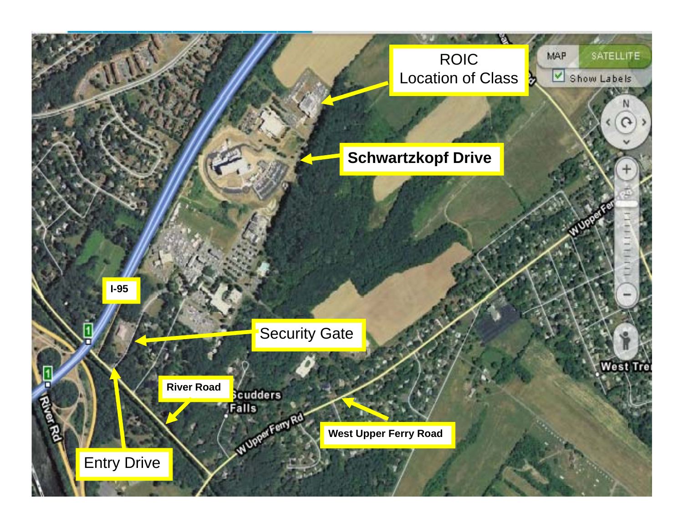